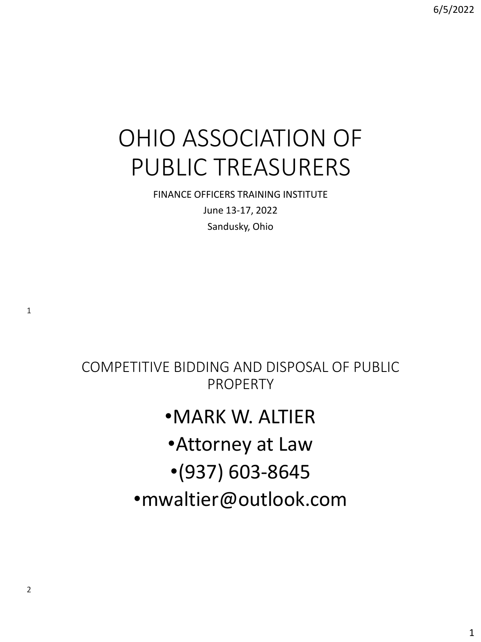# OHIO ASSOCIATION OF PUBLIC TREASURERS

FINANCE OFFICERS TRAINING INSTITUTE June 13-17, 2022 Sandusky, Ohio

COMPETITIVE BIDDING AND DISPOSAL OF PUBLIC PROPERTY

## •MARK W. ALTIER

- •Attorney at Law
- •(937) 603-8645
- •mwaltier@outlook.com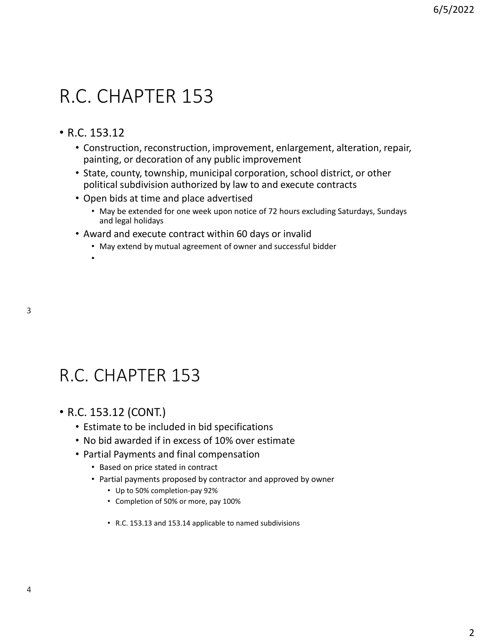# R.C. CHAPTER 153

### • R.C. 153.12

•

- Construction, reconstruction, improvement, enlargement, alteration, repair, painting, or decoration of any public improvement
- State, county, township, municipal corporation, school district, or other political subdivision authorized by law to and execute contracts
- Open bids at time and place advertised
	- May be extended for one week upon notice of 72 hours excluding Saturdays, Sundays and legal holidays
- Award and execute contract within 60 days or invalid
	- May extend by mutual agreement of owner and successful bidder

## R.C. CHAPTER 153

- R.C. 153.12 (CONT.)
	- Estimate to be included in bid specifications
	- No bid awarded if in excess of 10% over estimate
	- Partial Payments and final compensation
		- Based on price stated in contract
		- Partial payments proposed by contractor and approved by owner
			- Up to 50% completion-pay 92%
			- Completion of 50% or more, pay 100%
			- R.C. 153.13 and 153.14 applicable to named subdivisions

3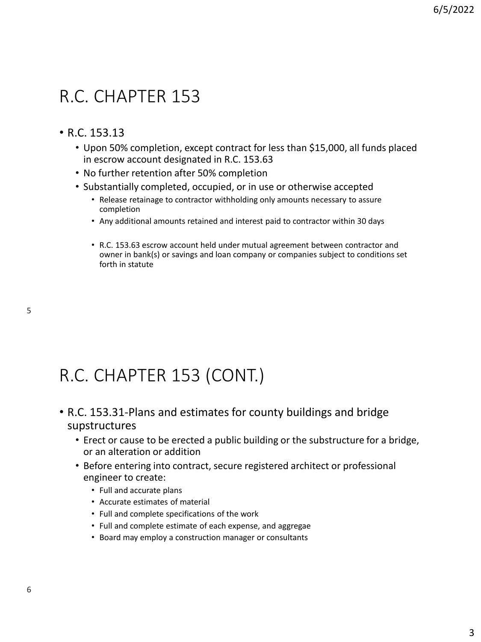## R.C. CHAPTER 153

### • R.C. 153.13

- Upon 50% completion, except contract for less than \$15,000, all funds placed in escrow account designated in R.C. 153.63
- No further retention after 50% completion
- Substantially completed, occupied, or in use or otherwise accepted
	- Release retainage to contractor withholding only amounts necessary to assure completion
	- Any additional amounts retained and interest paid to contractor within 30 days
	- R.C. 153.63 escrow account held under mutual agreement between contractor and owner in bank(s) or savings and loan company or companies subject to conditions set forth in statute

R.C. CHAPTER 153 (CONT.)

- R.C. 153.31-Plans and estimates for county buildings and bridge supstructures
	- Erect or cause to be erected a public building or the substructure for a bridge, or an alteration or addition
	- Before entering into contract, secure registered architect or professional engineer to create:
		- Full and accurate plans
		- Accurate estimates of material
		- Full and complete specifications of the work
		- Full and complete estimate of each expense, and aggregae
		- Board may employ a construction manager or consultants

6

5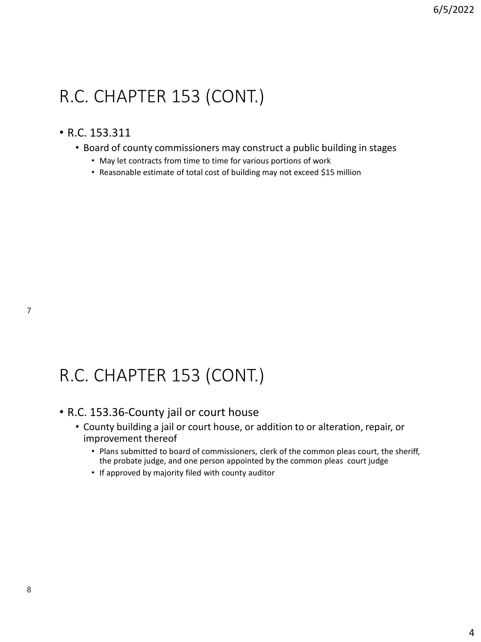### • R.C. 153.311

- Board of county commissioners may construct a public building in stages
	- May let contracts from time to time for various portions of work
	- Reasonable estimate of total cost of building may not exceed \$15 million

# R.C. CHAPTER 153 (CONT.)

### • R.C. 153.36-County jail or court house

- County building a jail or court house, or addition to or alteration, repair, or improvement thereof
	- Plans submitted to board of commissioners, clerk of the common pleas court, the sheriff, the probate judge, and one person appointed by the common pleas court judge
	- If approved by majority filed with county auditor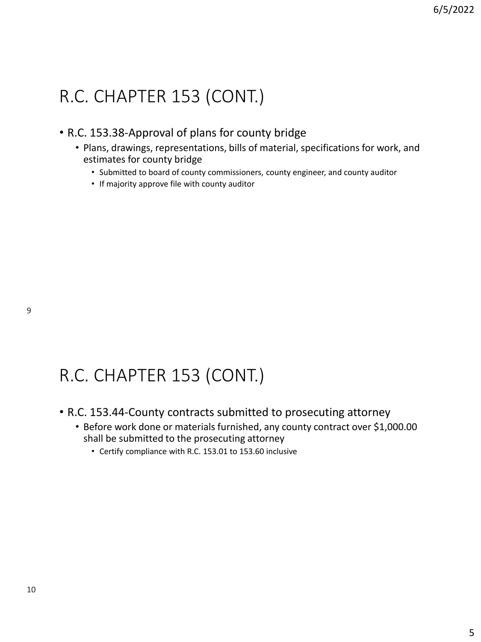### • R.C. 153.38-Approval of plans for county bridge

- Plans, drawings, representations, bills of material, specifications for work, and estimates for county bridge
	- Submitted to board of county commissioners, county engineer, and county auditor
	- If majority approve file with county auditor

# R.C. CHAPTER 153 (CONT.)

- R.C. 153.44-County contracts submitted to prosecuting attorney
	- Before work done or materials furnished, any county contract over \$1,000.00 shall be submitted to the prosecuting attorney
		- Certify compliance with R.C. 153.01 to 153.60 inclusive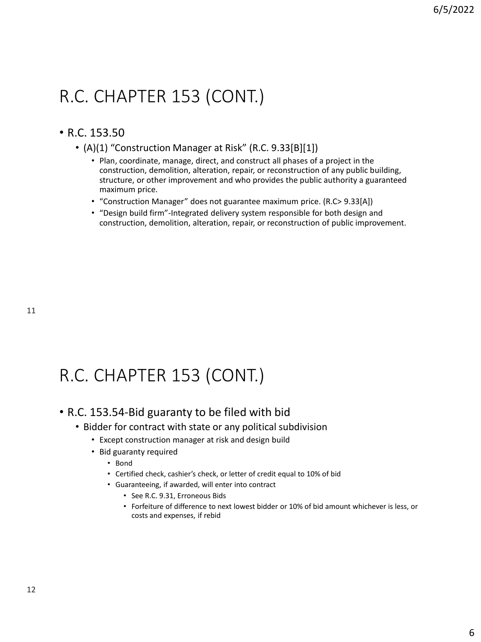### • R.C. 153.50

- (A)(1) "Construction Manager at Risk" (R.C. 9.33[B][1])
	- Plan, coordinate, manage, direct, and construct all phases of a project in the construction, demolition, alteration, repair, or reconstruction of any public building, structure, or other improvement and who provides the public authority a guaranteed maximum price.
	- "Construction Manager" does not guarantee maximum price. (R.C> 9.33[A])
	- "Design build firm"-Integrated delivery system responsible for both design and construction, demolition, alteration, repair, or reconstruction of public improvement.

# R.C. CHAPTER 153 (CONT.)

### • R.C. 153.54-Bid guaranty to be filed with bid

- Bidder for contract with state or any political subdivision
	- Except construction manager at risk and design build
	- Bid guaranty required
		- Bond
		- Certified check, cashier's check, or letter of credit equal to 10% of bid
		- Guaranteeing, if awarded, will enter into contract
			- See R.C. 9.31, Erroneous Bids
			- Forfeiture of difference to next lowest bidder or 10% of bid amount whichever is less, or costs and expenses, if rebid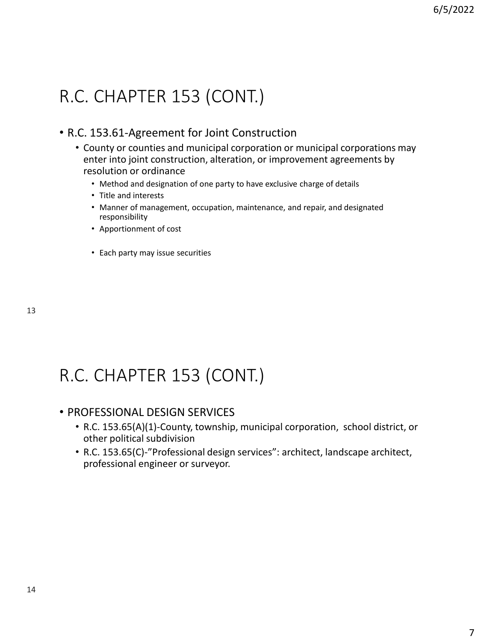### • R.C. 153.61-Agreement for Joint Construction

- County or counties and municipal corporation or municipal corporations may enter into joint construction, alteration, or improvement agreements by resolution or ordinance
	- Method and designation of one party to have exclusive charge of details
	- Title and interests
	- Manner of management, occupation, maintenance, and repair, and designated responsibility
	- Apportionment of cost
	- Each party may issue securities

# R.C. CHAPTER 153 (CONT.)

### • PROFESSIONAL DESIGN SERVICES

- R.C. 153.65(A)(1)-County, township, municipal corporation, school district, or other political subdivision
- R.C. 153.65(C)-"Professional design services": architect, landscape architect, professional engineer or surveyor.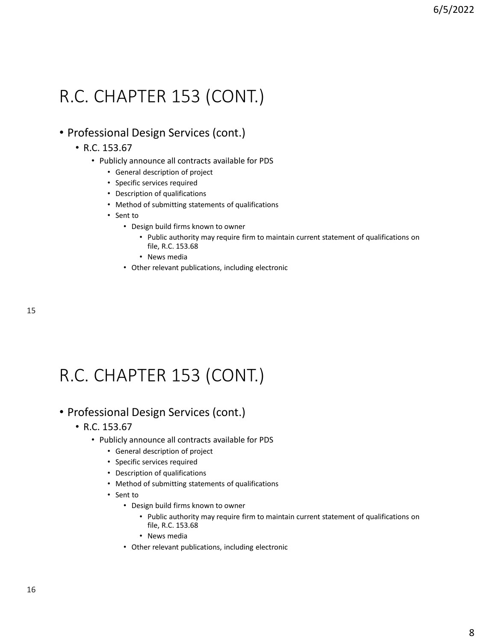### • Professional Design Services (cont.)

- R.C. 153.67
	- Publicly announce all contracts available for PDS
		- General description of project
		- Specific services required
		- Description of qualifications
		- Method of submitting statements of qualifications
		- Sent to
			- Design build firms known to owner
				- Public authority may require firm to maintain current statement of qualifications on file, R.C. 153.68
				- News media
			- Other relevant publications, including electronic

15

# R.C. CHAPTER 153 (CONT.)

### • Professional Design Services (cont.)

- R.C. 153.67
	- Publicly announce all contracts available for PDS
		- General description of project
		- Specific services required
		- Description of qualifications
		- Method of submitting statements of qualifications
		- Sent to
			- Design build firms known to owner
				- Public authority may require firm to maintain current statement of qualifications on file, R.C. 153.68
				- News media
			- Other relevant publications, including electronic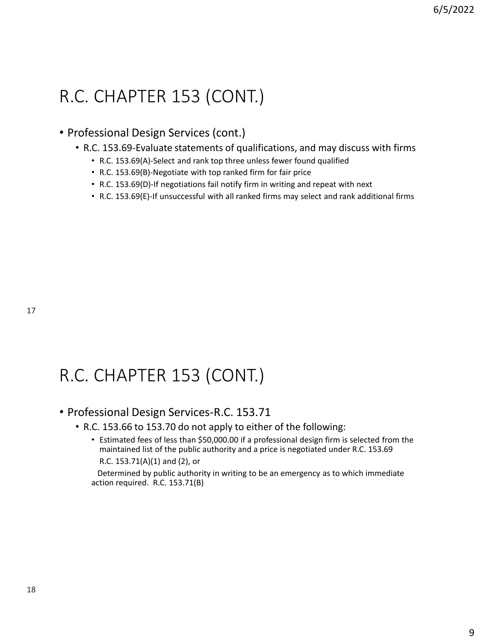• Professional Design Services (cont.)

- R.C. 153.69-Evaluate statements of qualifications, and may discuss with firms
	- R.C. 153.69(A)-Select and rank top three unless fewer found qualified
	- R.C. 153.69(B)-Negotiate with top ranked firm for fair price
	- R.C. 153.69(D)-If negotiations fail notify firm in writing and repeat with next
	- R.C. 153.69(E)-If unsuccessful with all ranked firms may select and rank additional firms

# R.C. CHAPTER 153 (CONT.)

### • Professional Design Services-R.C. 153.71

- R.C. 153.66 to 153.70 do not apply to either of the following:
	- Estimated fees of less than \$50,000.00 if a professional design firm is selected from the maintained list of the public authority and a price is negotiated under R.C. 153.69 R.C. 153.71(A)(1) and (2), or

Determined by public authority in writing to be an emergency as to which immediate action required. R.C. 153.71(B)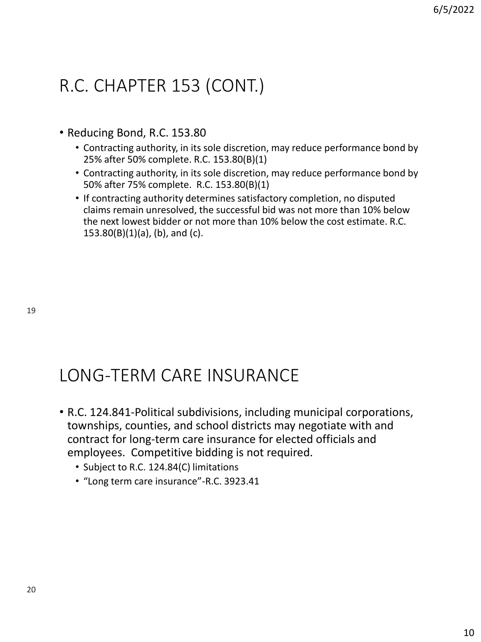- Reducing Bond, R.C. 153.80
	- Contracting authority, in its sole discretion, may reduce performance bond by 25% after 50% complete. R.C. 153.80(B)(1)
	- Contracting authority, in its sole discretion, may reduce performance bond by 50% after 75% complete. R.C. 153.80(B)(1)
	- If contracting authority determines satisfactory completion, no disputed claims remain unresolved, the successful bid was not more than 10% below the next lowest bidder or not more than 10% below the cost estimate. R.C. 153.80(B)(1)(a), (b), and (c).

## LONG-TERM CARE INSURANCE

- R.C. 124.841-Political subdivisions, including municipal corporations, townships, counties, and school districts may negotiate with and contract for long-term care insurance for elected officials and employees. Competitive bidding is not required.
	- Subject to R.C. 124.84(C) limitations
	- "Long term care insurance"-R.C. 3923.41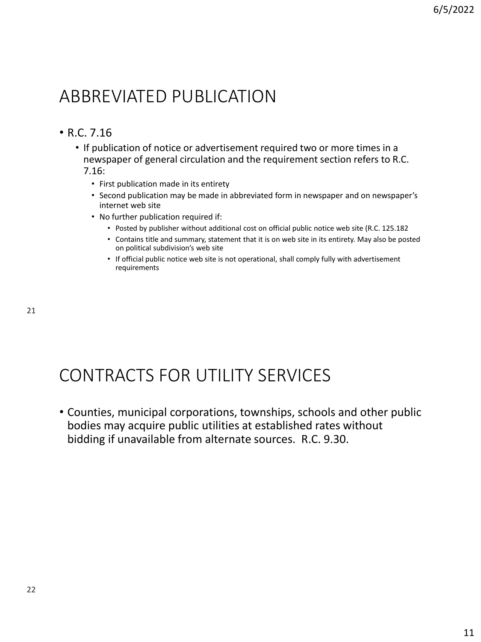## ABBREVIATED PUBLICATION

### • R.C. 7.16

- If publication of notice or advertisement required two or more times in a newspaper of general circulation and the requirement section refers to R.C. 7.16:
	- First publication made in its entirety
	- Second publication may be made in abbreviated form in newspaper and on newspaper's internet web site
	- No further publication required if:
		- Posted by publisher without additional cost on official public notice web site (R.C. 125.182
		- Contains title and summary, statement that it is on web site in its entirety. May also be posted on political subdivision's web site
		- If official public notice web site is not operational, shall comply fully with advertisement requirements

## CONTRACTS FOR UTILITY SERVICES

• Counties, municipal corporations, townships, schools and other public bodies may acquire public utilities at established rates without bidding if unavailable from alternate sources. R.C. 9.30.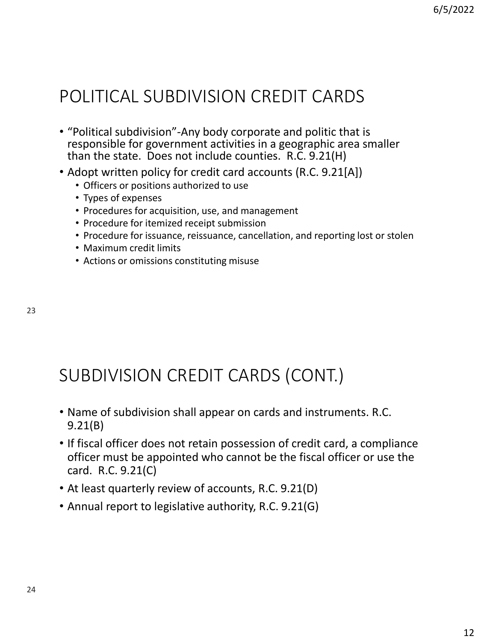# POLITICAL SUBDIVISION CREDIT CARDS

- "Political subdivision"-Any body corporate and politic that is responsible for government activities in a geographic area smaller than the state. Does not include counties. R.C. 9.21(H)
- Adopt written policy for credit card accounts (R.C. 9.21[A])
	- Officers or positions authorized to use
	- Types of expenses
	- Procedures for acquisition, use, and management
	- Procedure for itemized receipt submission
	- Procedure for issuance, reissuance, cancellation, and reporting lost or stolen
	- Maximum credit limits
	- Actions or omissions constituting misuse

## SUBDIVISION CREDIT CARDS (CONT.)

- Name of subdivision shall appear on cards and instruments. R.C. 9.21(B)
- If fiscal officer does not retain possession of credit card, a compliance officer must be appointed who cannot be the fiscal officer or use the card. R.C. 9.21(C)
- At least quarterly review of accounts, R.C. 9.21(D)
- Annual report to legislative authority, R.C. 9.21(G)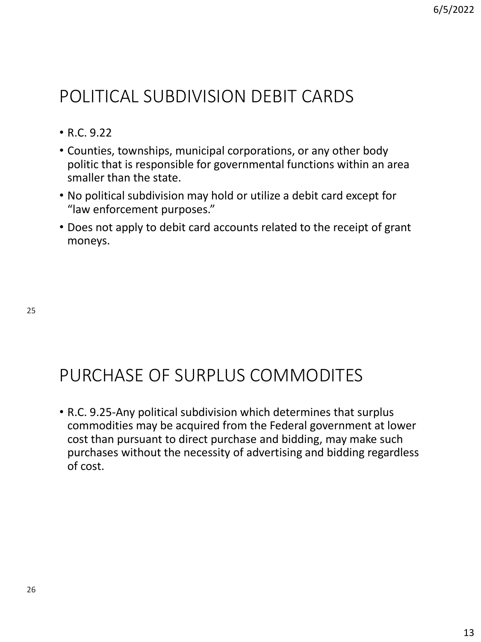## POLITICAL SUBDIVISION DEBIT CARDS

- R.C. 9.22
- Counties, townships, municipal corporations, or any other body politic that is responsible for governmental functions within an area smaller than the state.
- No political subdivision may hold or utilize a debit card except for "law enforcement purposes."
- Does not apply to debit card accounts related to the receipt of grant moneys.

25

## PURCHASE OF SURPLUS COMMODITES

• R.C. 9.25-Any political subdivision which determines that surplus commodities may be acquired from the Federal government at lower cost than pursuant to direct purchase and bidding, may make such purchases without the necessity of advertising and bidding regardless of cost.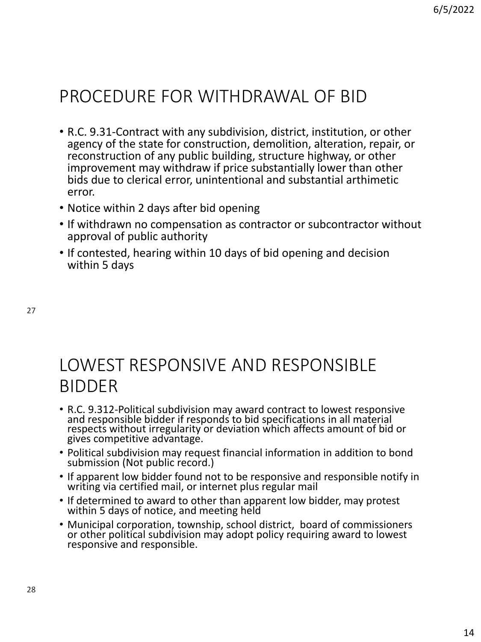## PROCEDURE FOR WITHDRAWAL OF BID

- R.C. 9.31-Contract with any subdivision, district, institution, or other agency of the state for construction, demolition, alteration, repair, or reconstruction of any public building, structure highway, or other improvement may withdraw if price substantially lower than other bids due to clerical error, unintentional and substantial arthimetic error.
- Notice within 2 days after bid opening
- If withdrawn no compensation as contractor or subcontractor without approval of public authority
- If contested, hearing within 10 days of bid opening and decision within 5 days

27

## LOWEST RESPONSIVE AND RESPONSIBLE BIDDER

- R.C. 9.312-Political subdivision may award contract to lowest responsive and responsible bidder if responds to bid specifications in all material respects without irregularity or deviation which affects amount of bid or gives competitive advantage.
- Political subdivision may request financial information in addition to bond submission (Not public record.)
- If apparent low bidder found not to be responsive and responsible notify in writing via certified mail, or internet plus regular mail
- If determined to award to other than apparent low bidder, may protest within 5 days of notice, and meeting held
- Municipal corporation, township, school district, board of commissioners or other political subdivision may adopt policy requiring award to lowest responsive and responsible.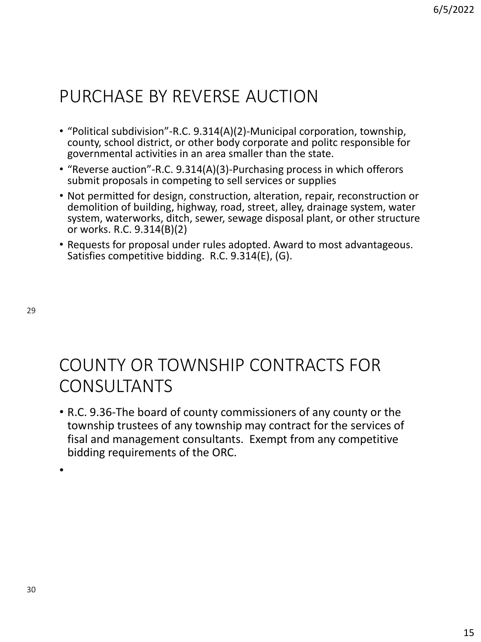## PURCHASE BY REVERSE AUCTION

- "Political subdivision"-R.C. 9.314(A)(2)-Municipal corporation, township, county, school district, or other body corporate and politc responsible for governmental activities in an area smaller than the state.
- "Reverse auction"-R.C. 9.314(A)(3)-Purchasing process in which offerors submit proposals in competing to sell services or supplies
- Not permitted for design, construction, alteration, repair, reconstruction or demolition of building, highway, road, street, alley, drainage system, water system, waterworks, ditch, sewer, sewage disposal plant, or other structure or works. R.C. 9.314(B)(2)
- Requests for proposal under rules adopted. Award to most advantageous. Satisfies competitive bidding. R.C. 9.314(E), (G).

29

# COUNTY OR TOWNSHIP CONTRACTS FOR CONSULTANTS

• R.C. 9.36-The board of county commissioners of any county or the township trustees of any township may contract for the services of fisal and management consultants. Exempt from any competitive bidding requirements of the ORC.

•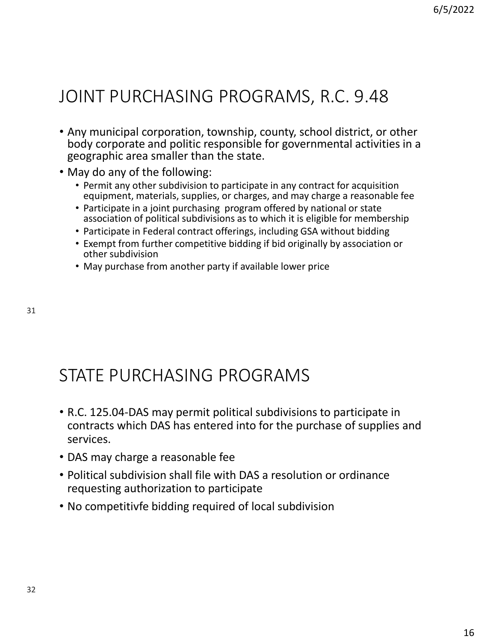## JOINT PURCHASING PROGRAMS, R.C. 9.48

- Any municipal corporation, township, county, school district, or other body corporate and politic responsible for governmental activities in a geographic area smaller than the state.
- May do any of the following:
	- Permit any other subdivision to participate in any contract for acquisition equipment, materials, supplies, or charges, and may charge a reasonable fee
	- Participate in a joint purchasing program offered by national or state association of political subdivisions as to which it is eligible for membership
	- Participate in Federal contract offerings, including GSA without bidding
	- Exempt from further competitive bidding if bid originally by association or other subdivision
	- May purchase from another party if available lower price

## STATE PURCHASING PROGRAMS

- R.C. 125.04-DAS may permit political subdivisions to participate in contracts which DAS has entered into for the purchase of supplies and services.
- DAS may charge a reasonable fee
- Political subdivision shall file with DAS a resolution or ordinance requesting authorization to participate
- No competitivfe bidding required of local subdivision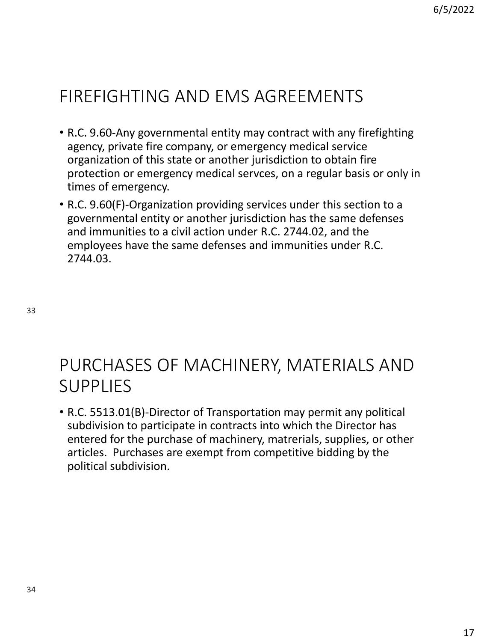# FIREFIGHTING AND EMS AGREEMENTS

- R.C. 9.60-Any governmental entity may contract with any firefighting agency, private fire company, or emergency medical service organization of this state or another jurisdiction to obtain fire protection or emergency medical servces, on a regular basis or only in times of emergency.
- R.C. 9.60(F)-Organization providing services under this section to a governmental entity or another jurisdiction has the same defenses and immunities to a civil action under R.C. 2744.02, and the employees have the same defenses and immunities under R.C. 2744.03.

33

## PURCHASES OF MACHINERY, MATERIALS AND SUPPLIES

• R.C. 5513.01(B)-Director of Transportation may permit any political subdivision to participate in contracts into which the Director has entered for the purchase of machinery, matrerials, supplies, or other articles. Purchases are exempt from competitive bidding by the political subdivision.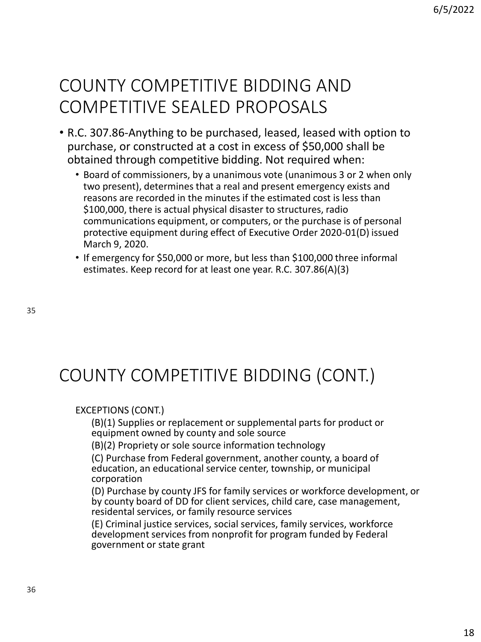## COUNTY COMPETITIVE BIDDING AND COMPETITIVE SEALED PROPOSALS

- R.C. 307.86-Anything to be purchased, leased, leased with option to purchase, or constructed at a cost in excess of \$50,000 shall be obtained through competitive bidding. Not required when:
	- Board of commissioners, by a unanimous vote (unanimous 3 or 2 when only two present), determines that a real and present emergency exists and reasons are recorded in the minutes if the estimated cost is less than \$100,000, there is actual physical disaster to structures, radio communications equipment, or computers, or the purchase is of personal protective equipment during effect of Executive Order 2020-01(D) issued March 9, 2020.
	- If emergency for \$50,000 or more, but less than \$100,000 three informal estimates. Keep record for at least one year. R.C. 307.86(A)(3)

# COUNTY COMPETITIVE BIDDING (CONT.)

### EXCEPTIONS (CONT.)

(B)(1) Supplies or replacement or supplemental parts for product or equipment owned by county and sole source

(B)(2) Propriety or sole source information technology

(C) Purchase from Federal government, another county, a board of education, an educational service center, township, or municipal corporation

(D) Purchase by county JFS for family services or workforce development, or by county board of DD for client services, child care, case management, residental services, or family resource services

(E) Criminal justice services, social services, family services, workforce development services from nonprofit for program funded by Federal government or state grant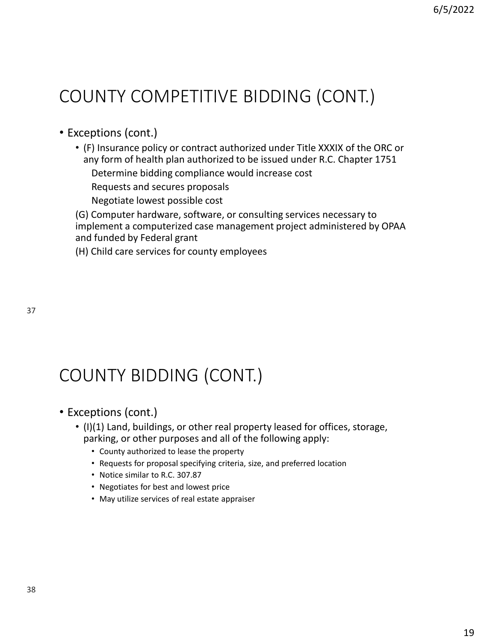# COUNTY COMPETITIVE BIDDING (CONT.)

- Exceptions (cont.)
	- (F) Insurance policy or contract authorized under Title XXXIX of the ORC or any form of health plan authorized to be issued under R.C. Chapter 1751

Determine bidding compliance would increase cost

Requests and secures proposals

Negotiate lowest possible cost

(G) Computer hardware, software, or consulting services necessary to implement a computerized case management project administered by OPAA and funded by Federal grant

(H) Child care services for county employees

# COUNTY BIDDING (CONT.)

- Exceptions (cont.)
	- (I)(1) Land, buildings, or other real property leased for offices, storage, parking, or other purposes and all of the following apply:
		- County authorized to lease the property
		- Requests for proposal specifying criteria, size, and preferred location
		- Notice similar to R.C. 307.87
		- Negotiates for best and lowest price
		- May utilize services of real estate appraiser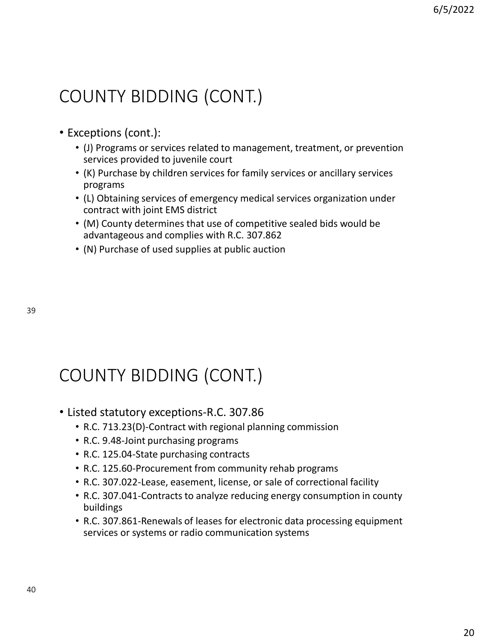# COUNTY BIDDING (CONT.)

- Exceptions (cont.):
	- (J) Programs or services related to management, treatment, or prevention services provided to juvenile court
	- (K) Purchase by children services for family services or ancillary services programs
	- (L) Obtaining services of emergency medical services organization under contract with joint EMS district
	- (M) County determines that use of competitive sealed bids would be advantageous and complies with R.C. 307.862
	- (N) Purchase of used supplies at public auction

39

# COUNTY BIDDING (CONT.)

- Listed statutory exceptions-R.C. 307.86
	- R.C. 713.23(D)-Contract with regional planning commission
	- R.C. 9.48-Joint purchasing programs
	- R.C. 125.04-State purchasing contracts
	- R.C. 125.60-Procurement from community rehab programs
	- R.C. 307.022-Lease, easement, license, or sale of correctional facility
	- R.C. 307.041-Contracts to analyze reducing energy consumption in county buildings
	- R.C. 307.861-Renewals of leases for electronic data processing equipment services or systems or radio communication systems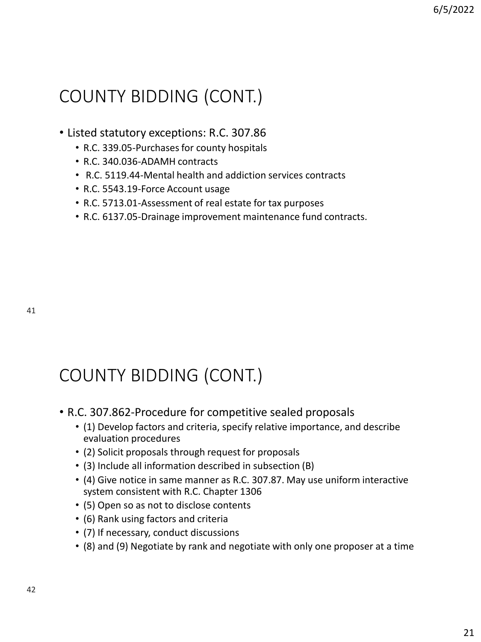# COUNTY BIDDING (CONT.)

### • Listed statutory exceptions: R.C. 307.86

- R.C. 339.05-Purchases for county hospitals
- R.C. 340.036-ADAMH contracts
- R.C. 5119.44-Mental health and addiction services contracts
- R.C. 5543.19-Force Account usage
- R.C. 5713.01-Assessment of real estate for tax purposes
- R.C. 6137.05-Drainage improvement maintenance fund contracts.

# COUNTY BIDDING (CONT.)

- R.C. 307.862-Procedure for competitive sealed proposals
	- (1) Develop factors and criteria, specify relative importance, and describe evaluation procedures
	- (2) Solicit proposals through request for proposals
	- (3) Include all information described in subsection (B)
	- (4) Give notice in same manner as R.C. 307.87. May use uniform interactive system consistent with R.C. Chapter 1306
	- (5) Open so as not to disclose contents
	- (6) Rank using factors and criteria
	- (7) If necessary, conduct discussions
	- (8) and (9) Negotiate by rank and negotiate with only one proposer at a time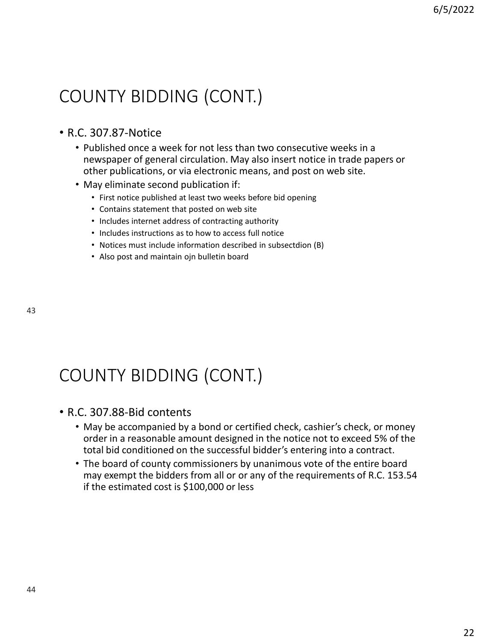# COUNTY BIDDING (CONT.)

### • R.C. 307.87-Notice

- Published once a week for not less than two consecutive weeks in a newspaper of general circulation. May also insert notice in trade papers or other publications, or via electronic means, and post on web site.
- May eliminate second publication if:
	- First notice published at least two weeks before bid opening
	- Contains statement that posted on web site
	- Includes internet address of contracting authority
	- Includes instructions as to how to access full notice
	- Notices must include information described in subsectdion (B)
	- Also post and maintain ojn bulletin board

# COUNTY BIDDING (CONT.)

### • R.C. 307.88-Bid contents

- May be accompanied by a bond or certified check, cashier's check, or money order in a reasonable amount designed in the notice not to exceed 5% of the total bid conditioned on the successful bidder's entering into a contract.
- The board of county commissioners by unanimous vote of the entire board may exempt the bidders from all or or any of the requirements of R.C. 153.54 if the estimated cost is \$100,000 or less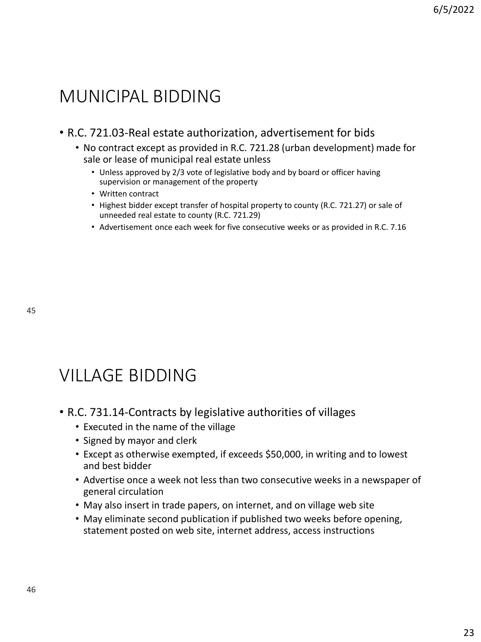## MUNICIPAL BIDDING

### • R.C. 721.03-Real estate authorization, advertisement for bids

- No contract except as provided in R.C. 721.28 (urban development) made for sale or lease of municipal real estate unless
	- Unless approved by 2/3 vote of legislative body and by board or officer having supervision or management of the property
	- Written contract
	- Highest bidder except transfer of hospital property to county (R.C. 721.27) or sale of unneeded real estate to county (R.C. 721.29)
	- Advertisement once each week for five consecutive weeks or as provided in R.C. 7.16

## VILLAGE BIDDING

- R.C. 731.14-Contracts by legislative authorities of villages
	- Executed in the name of the village
	- Signed by mayor and clerk
	- Except as otherwise exempted, if exceeds \$50,000, in writing and to lowest and best bidder
	- Advertise once a week not less than two consecutive weeks in a newspaper of general circulation
	- May also insert in trade papers, on internet, and on village web site
	- May eliminate second publication if published two weeks before opening, statement posted on web site, internet address, access instructions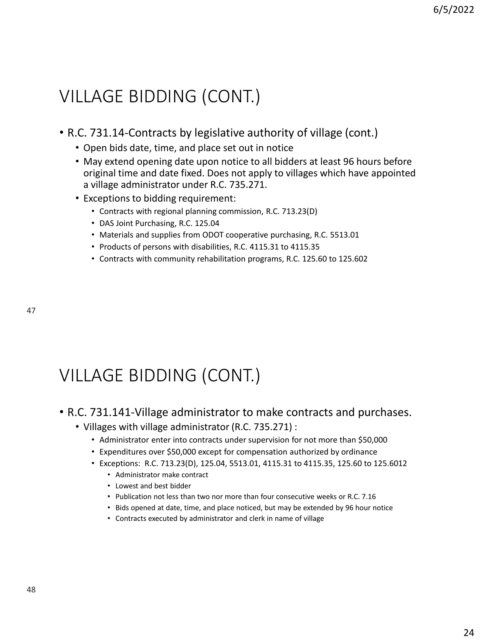## VILLAGE BIDDING (CONT.)

- R.C. 731.14-Contracts by legislative authority of village (cont.)
	- Open bids date, time, and place set out in notice
	- May extend opening date upon notice to all bidders at least 96 hours before original time and date fixed. Does not apply to villages which have appointed a village administrator under R.C. 735.271.
	- Exceptions to bidding requirement:
		- Contracts with regional planning commission, R.C. 713.23(D)
		- DAS Joint Purchasing, R.C. 125.04
		- Materials and supplies from ODOT cooperative purchasing, R.C. 5513.01
		- Products of persons with disabilities, R.C. 4115.31 to 4115.35
		- Contracts with community rehabilitation programs, R.C. 125.60 to 125.602

47

# VILLAGE BIDDING (CONT.)

## • R.C. 731.141-Village administrator to make contracts and purchases.

- Villages with village administrator (R.C. 735.271) :
	- Administrator enter into contracts under supervision for not more than \$50,000
	- Expenditures over \$50,000 except for compensation authorized by ordinance
	- Exceptions: R.C. 713.23(D), 125.04, 5513.01, 4115.31 to 4115.35, 125.60 to 125.6012
		- Administrator make contract
		- Lowest and best bidder
		- Publication not less than two nor more than four consecutive weeks or R.C. 7.16
		- Bids opened at date, time, and place noticed, but may be extended by 96 hour notice
		- Contracts executed by administrator and clerk in name of village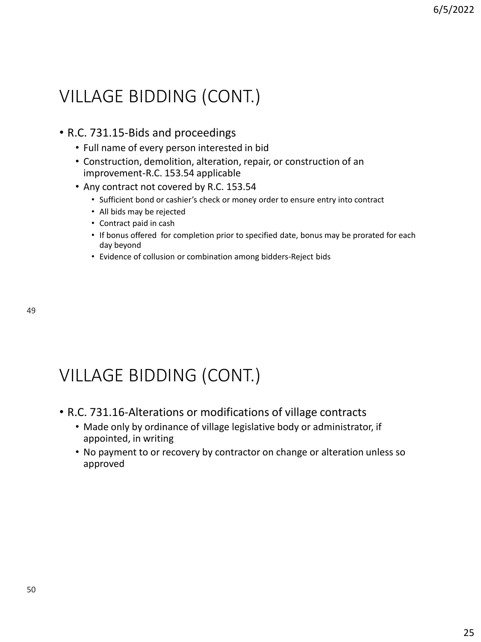# VILLAGE BIDDING (CONT.)

### • R.C. 731.15-Bids and proceedings

- Full name of every person interested in bid
- Construction, demolition, alteration, repair, or construction of an improvement-R.C. 153.54 applicable
- Any contract not covered by R.C. 153.54
	- Sufficient bond or cashier's check or money order to ensure entry into contract
	- All bids may be rejected
	- Contract paid in cash
	- If bonus offered for completion prior to specified date, bonus may be prorated for each day beyond
	- Evidence of collusion or combination among bidders-Reject bids

49

# VILLAGE BIDDING (CONT.)

- R.C. 731.16-Alterations or modifications of village contracts
	- Made only by ordinance of village legislative body or administrator, if appointed, in writing
	- No payment to or recovery by contractor on change or alteration unless so approved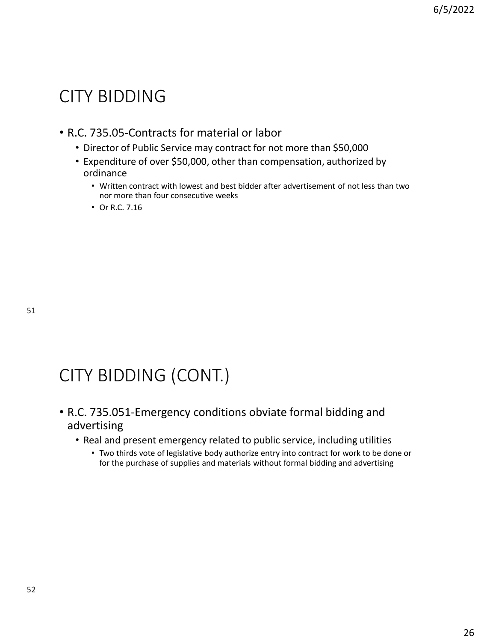## CITY BIDDING

### • R.C. 735.05-Contracts for material or labor

- Director of Public Service may contract for not more than \$50,000
- Expenditure of over \$50,000, other than compensation, authorized by ordinance
	- Written contract with lowest and best bidder after advertisement of not less than two nor more than four consecutive weeks
	- Or R.C. 7.16

# CITY BIDDING (CONT.)

- R.C. 735.051-Emergency conditions obviate formal bidding and advertising
	- Real and present emergency related to public service, including utilities
		- Two thirds vote of legislative body authorize entry into contract for work to be done or for the purchase of supplies and materials without formal bidding and advertising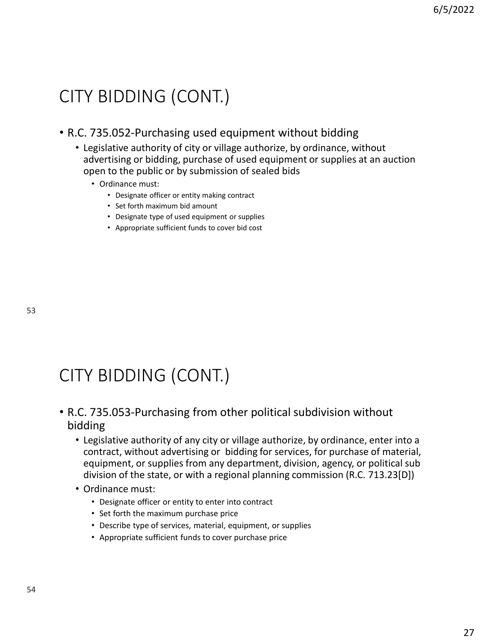## CITY BIDDING (CONT.)

### • R.C. 735.052-Purchasing used equipment without bidding

- Legislative authority of city or village authorize, by ordinance, without advertising or bidding, purchase of used equipment or supplies at an auction open to the public or by submission of sealed bids
	- Ordinance must:
		- Designate officer or entity making contract
		- Set forth maximum bid amount
		- Designate type of used equipment or supplies
		- Appropriate sufficient funds to cover bid cost

53

# CITY BIDDING (CONT.)

### • R.C. 735.053-Purchasing from other political subdivision without bidding

- Legislative authority of any city or village authorize, by ordinance, enter into a contract, without advertising or bidding for services, for purchase of material, equipment, or supplies from any department, division, agency, or political sub division of the state, or with a regional planning commission (R.C. 713.23[D])
- Ordinance must:
	- Designate officer or entity to enter into contract
	- Set forth the maximum purchase price
	- Describe type of services, material, equipment, or supplies
	- Appropriate sufficient funds to cover purchase price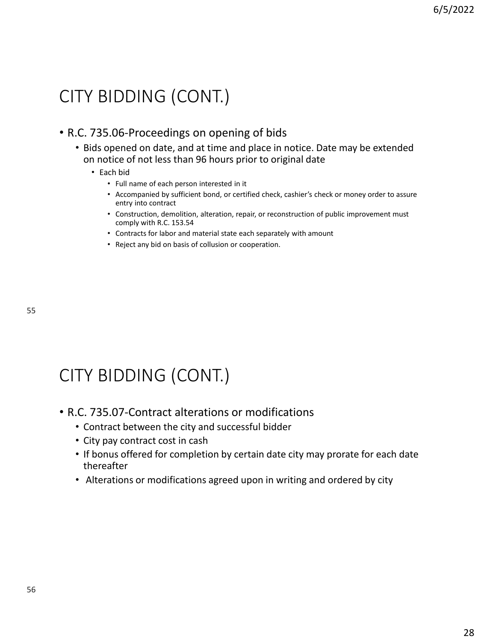## CITY BIDDING (CONT.)

### • R.C. 735.06-Proceedings on opening of bids

• Bids opened on date, and at time and place in notice. Date may be extended on notice of not less than 96 hours prior to original date

#### • Each bid

- Full name of each person interested in it
- Accompanied by sufficient bond, or certified check, cashier's check or money order to assure entry into contract
- Construction, demolition, alteration, repair, or reconstruction of public improvement must comply with R.C. 153.54
- Contracts for labor and material state each separately with amount
- Reject any bid on basis of collusion or cooperation.

55

# CITY BIDDING (CONT.)

- R.C. 735.07-Contract alterations or modifications
	- Contract between the city and successful bidder
	- City pay contract cost in cash
	- If bonus offered for completion by certain date city may prorate for each date thereafter
	- Alterations or modifications agreed upon in writing and ordered by city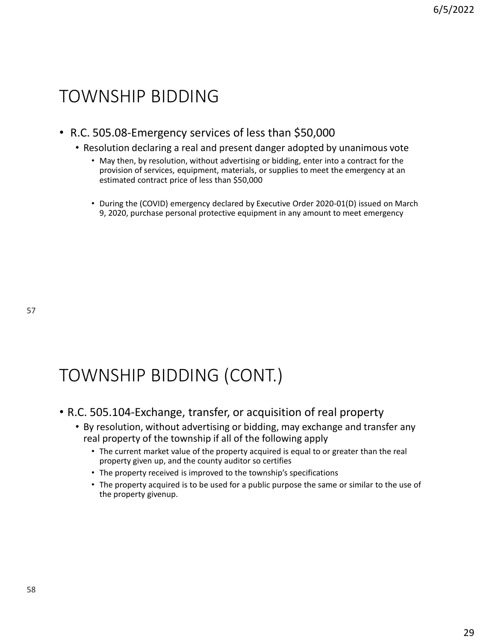## TOWNSHIP BIDDING

- R.C. 505.08-Emergency services of less than \$50,000
	- Resolution declaring a real and present danger adopted by unanimous vote
		- May then, by resolution, without advertising or bidding, enter into a contract for the provision of services, equipment, materials, or supplies to meet the emergency at an estimated contract price of less than \$50,000
		- During the (COVID) emergency declared by Executive Order 2020-01(D) issued on March 9, 2020, purchase personal protective equipment in any amount to meet emergency

# TOWNSHIP BIDDING (CONT.)

### • R.C. 505.104-Exchange, transfer, or acquisition of real property

- By resolution, without advertising or bidding, may exchange and transfer any real property of the township if all of the following apply
	- The current market value of the property acquired is equal to or greater than the real property given up, and the county auditor so certifies
	- The property received is improved to the township's specifications
	- The property acquired is to be used for a public purpose the same or similar to the use of the property givenup.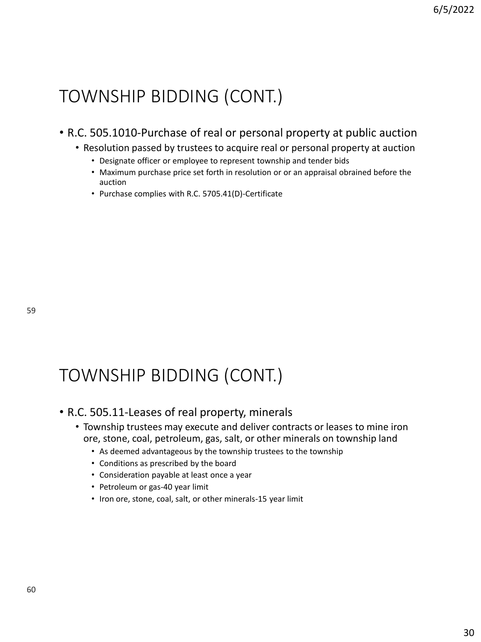### • R.C. 505.1010-Purchase of real or personal property at public auction

- Resolution passed by trustees to acquire real or personal property at auction
	- Designate officer or employee to represent township and tender bids
	- Maximum purchase price set forth in resolution or or an appraisal obrained before the auction
	- Purchase complies with R.C. 5705.41(D)-Certificate

# TOWNSHIP BIDDING (CONT.)

### • R.C. 505.11-Leases of real property, minerals

- Township trustees may execute and deliver contracts or leases to mine iron ore, stone, coal, petroleum, gas, salt, or other minerals on township land
	- As deemed advantageous by the township trustees to the township
	- Conditions as prescribed by the board
	- Consideration payable at least once a year
	- Petroleum or gas-40 year limit
	- Iron ore, stone, coal, salt, or other minerals-15 year limit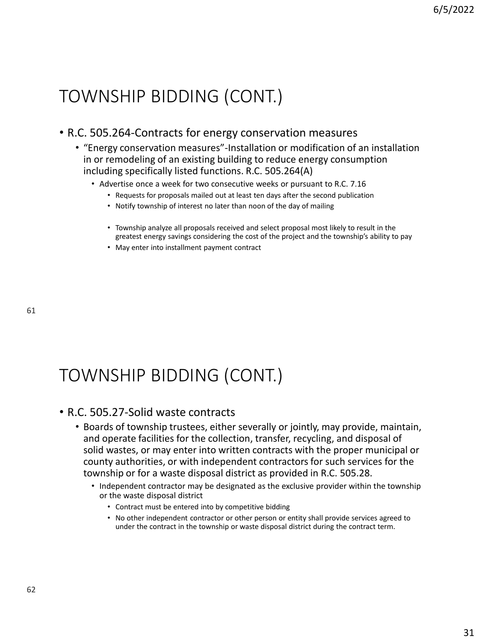### • R.C. 505.264-Contracts for energy conservation measures

- "Energy conservation measures"-Installation or modification of an installation in or remodeling of an existing building to reduce energy consumption including specifically listed functions. R.C. 505.264(A)
	- Advertise once a week for two consecutive weeks or pursuant to R.C. 7.16
		- Requests for proposals mailed out at least ten days after the second publication
		- Notify township of interest no later than noon of the day of mailing
		- Township analyze all proposals received and select proposal most likely to result in the greatest energy savings considering the cost of the project and the township's ability to pay
		- May enter into installment payment contract

# TOWNSHIP BIDDING (CONT.)

### • R.C. 505.27-Solid waste contracts

- Boards of township trustees, either severally or jointly, may provide, maintain, and operate facilities for the collection, transfer, recycling, and disposal of solid wastes, or may enter into written contracts with the proper municipal or county authorities, or with independent contractors for such services for the township or for a waste disposal district as provided in R.C. 505.28.
	- Independent contractor may be designated as the exclusive provider within the township or the waste disposal district
		- Contract must be entered into by competitive bidding
		- No other independent contractor or other person or entity shall provide services agreed to under the contract in the township or waste disposal district during the contract term.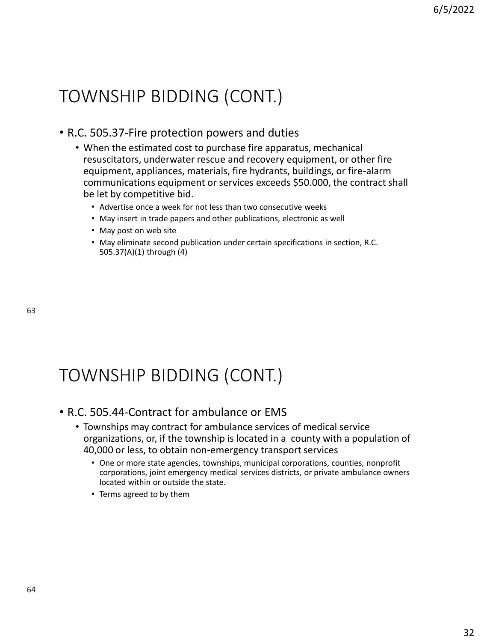### • R.C. 505.37-Fire protection powers and duties

- When the estimated cost to purchase fire apparatus, mechanical resuscitators, underwater rescue and recovery equipment, or other fire equipment, appliances, materials, fire hydrants, buildings, or fire-alarm communications equipment or services exceeds \$50.000, the contract shall be let by competitive bid.
	- Advertise once a week for not less than two consecutive weeks
	- May insert in trade papers and other publications, electronic as well
	- May post on web site
	- May eliminate second publication under certain specifications in section, R.C. 505.37(A)(1) through (4)

# TOWNSHIP BIDDING (CONT.)

### • R.C. 505.44-Contract for ambulance or EMS

- Townships may contract for ambulance services of medical service organizations, or, if the township is located in a county with a population of 40,000 or less, to obtain non-emergency transport services
	- One or more state agencies, townships, municipal corporations, counties, nonprofit corporations, joint emergency medical services districts, or private ambulance owners located within or outside the state.
	- Terms agreed to by them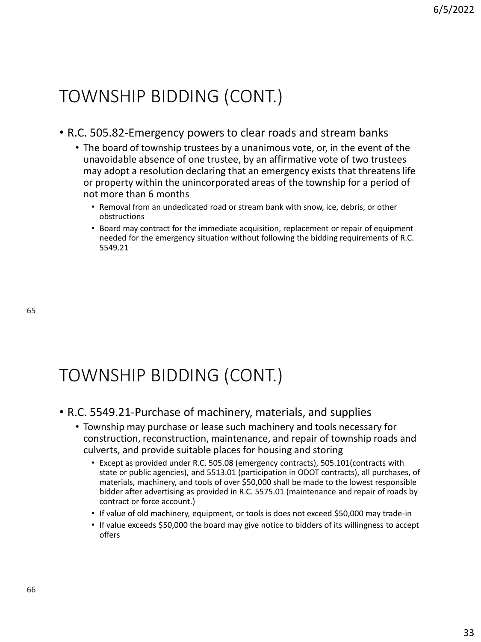### • R.C. 505.82-Emergency powers to clear roads and stream banks

- The board of township trustees by a unanimous vote, or, in the event of the unavoidable absence of one trustee, by an affirmative vote of two trustees may adopt a resolution declaring that an emergency exists that threatens life or property within the unincorporated areas of the township for a period of not more than 6 months
	- Removal from an undedicated road or stream bank with snow, ice, debris, or other obstructions
	- Board may contract for the immediate acquisition, replacement or repair of equipment needed for the emergency situation without following the bidding requirements of R.C. 5549.21

65

# TOWNSHIP BIDDING (CONT.)

### • R.C. 5549.21-Purchase of machinery, materials, and supplies

- Township may purchase or lease such machinery and tools necessary for construction, reconstruction, maintenance, and repair of township roads and culverts, and provide suitable places for housing and storing
	- Except as provided under R.C. 505.08 (emergency contracts), 505.101(contracts with state or public agencies), and 5513.01 (participation in ODOT contracts), all purchases, of materials, machinery, and tools of over \$50,000 shall be made to the lowest responsible bidder after advertising as provided in R.C. 5575.01 (maintenance and repair of roads by contract or force account.)
	- If value of old machinery, equipment, or tools is does not exceed \$50,000 may trade-in
	- If value exceeds \$50,000 the board may give notice to bidders of its willingness to accept offers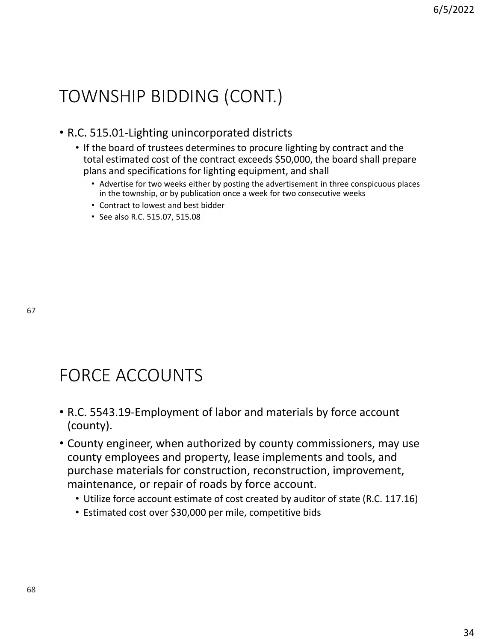### • R.C. 515.01-Lighting unincorporated districts

- If the board of trustees determines to procure lighting by contract and the total estimated cost of the contract exceeds \$50,000, the board shall prepare plans and specifications for lighting equipment, and shall
	- Advertise for two weeks either by posting the advertisement in three conspicuous places in the township, or by publication once a week for two consecutive weeks
	- Contract to lowest and best bidder
	- See also R.C. 515.07, 515.08

# FORCE ACCOUNTS

- R.C. 5543.19-Employment of labor and materials by force account (county).
- County engineer, when authorized by county commissioners, may use county employees and property, lease implements and tools, and purchase materials for construction, reconstruction, improvement, maintenance, or repair of roads by force account.
	- Utilize force account estimate of cost created by auditor of state (R.C. 117.16)
	- Estimated cost over \$30,000 per mile, competitive bids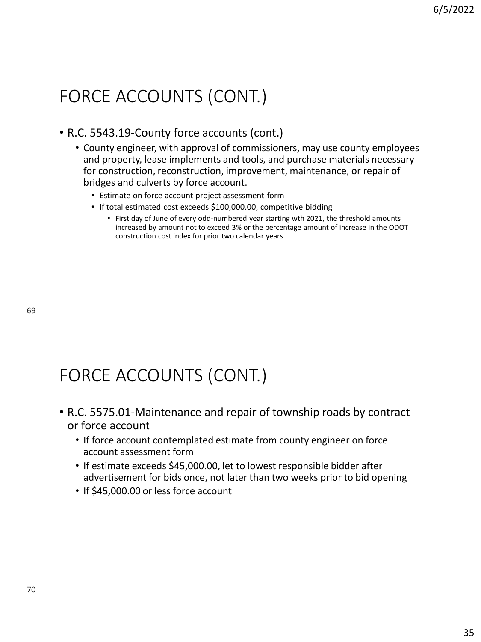# FORCE ACCOUNTS (CONT.)

### • R.C. 5543.19-County force accounts (cont.)

- County engineer, with approval of commissioners, may use county employees and property, lease implements and tools, and purchase materials necessary for construction, reconstruction, improvement, maintenance, or repair of bridges and culverts by force account.
	- Estimate on force account project assessment form
	- If total estimated cost exceeds \$100,000.00, competitive bidding
		- First day of June of every odd-numbered year starting wth 2021, the threshold amounts increased by amount not to exceed 3% or the percentage amount of increase in the ODOT construction cost index for prior two calendar years

# FORCE ACCOUNTS (CONT.)

- R.C. 5575.01-Maintenance and repair of township roads by contract or force account
	- If force account contemplated estimate from county engineer on force account assessment form
	- If estimate exceeds \$45,000.00, let to lowest responsible bidder after advertisement for bids once, not later than two weeks prior to bid opening
	- If \$45,000.00 or less force account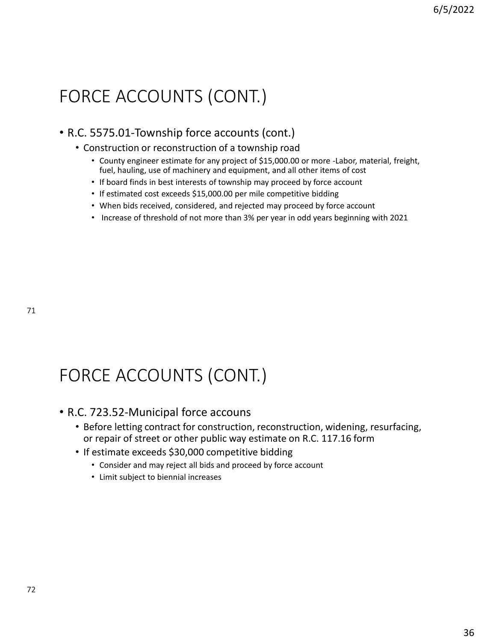# FORCE ACCOUNTS (CONT.)

### • R.C. 5575.01-Township force accounts (cont.)

- Construction or reconstruction of a township road
	- County engineer estimate for any project of \$15,000.00 or more -Labor, material, freight, fuel, hauling, use of machinery and equipment, and all other items of cost
	- If board finds in best interests of township may proceed by force account
	- If estimated cost exceeds \$15,000.00 per mile competitive bidding
	- When bids received, considered, and rejected may proceed by force account
	- Increase of threshold of not more than 3% per year in odd years beginning with 2021

# FORCE ACCOUNTS (CONT.)

### • R.C. 723.52-Municipal force accouns

- Before letting contract for construction, reconstruction, widening, resurfacing, or repair of street or other public way estimate on R.C. 117.16 form
- If estimate exceeds \$30,000 competitive bidding
	- Consider and may reject all bids and proceed by force account
	- Limit subject to biennial increases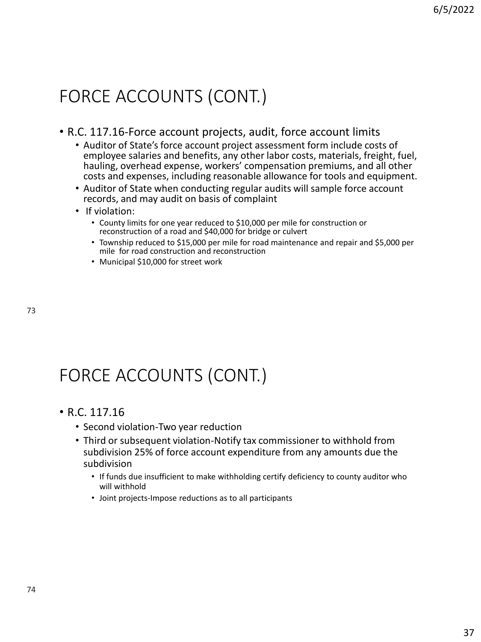# FORCE ACCOUNTS (CONT.)

### • R.C. 117.16-Force account projects, audit, force account limits

- Auditor of State's force account project assessment form include costs of employee salaries and benefits, any other labor costs, materials, freight, fuel, hauling, overhead expense, workers' compensation premiums, and all other costs and expenses, including reasonable allowance for tools and equipment.
- Auditor of State when conducting regular audits will sample force account records, and may audit on basis of complaint
- If violation:
	- County limits for one year reduced to \$10,000 per mile for construction or reconstruction of a road and \$40,000 for bridge or culvert
	- Township reduced to \$15,000 per mile for road maintenance and repair and \$5,000 per mile for road construction and reconstruction
	- Municipal \$10,000 for street work

# FORCE ACCOUNTS (CONT.)

- R.C. 117.16
	- Second violation-Two year reduction
	- Third or subsequent violation-Notify tax commissioner to withhold from subdivision 25% of force account expenditure from any amounts due the subdivision
		- If funds due insufficient to make withholding certify deficiency to county auditor who will withhold
		- Joint projects-Impose reductions as to all participants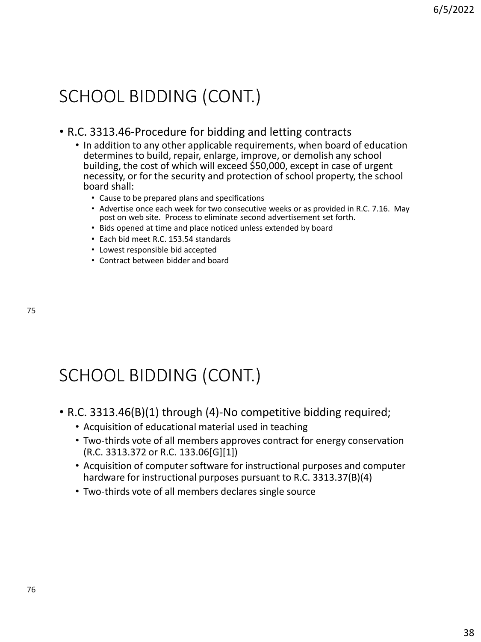## SCHOOL BIDDING (CONT.)

### • R.C. 3313.46-Procedure for bidding and letting contracts

- In addition to any other applicable requirements, when board of education determines to build, repair, enlarge, improve, or demolish any school building, the cost of which will exceed \$50,000, except in case of urgent necessity, or for the security and protection of school property, the school board shall:
	- Cause to be prepared plans and specifications
	- Advertise once each week for two consecutive weeks or as provided in R.C. 7.16. May post on web site. Process to eliminate second advertisement set forth.
	- Bids opened at time and place noticed unless extended by board
	- Each bid meet R.C. 153.54 standards
	- Lowest responsible bid accepted
	- Contract between bidder and board

# SCHOOL BIDDING (CONT.)

- R.C. 3313.46(B)(1) through (4)-No competitive bidding required;
	- Acquisition of educational material used in teaching
	- Two-thirds vote of all members approves contract for energy conservation (R.C. 3313.372 or R.C. 133.06[G][1])
	- Acquisition of computer software for instructional purposes and computer hardware for instructional purposes pursuant to R.C. 3313.37(B)(4)
	- Two-thirds vote of all members declares single source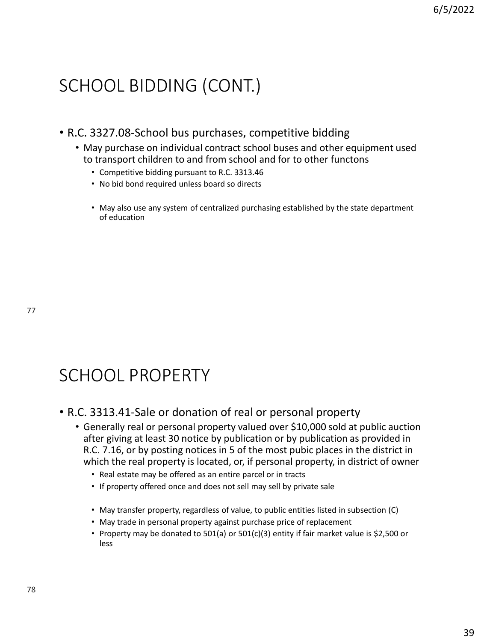# SCHOOL BIDDING (CONT.)

- R.C. 3327.08-School bus purchases, competitive bidding
	- May purchase on individual contract school buses and other equipment used to transport children to and from school and for to other functons
		- Competitive bidding pursuant to R.C. 3313.46
		- No bid bond required unless board so directs
		- May also use any system of centralized purchasing established by the state department of education

# SCHOOL PROPERTY

- R.C. 3313.41-Sale or donation of real or personal property
	- Generally real or personal property valued over \$10,000 sold at public auction after giving at least 30 notice by publication or by publication as provided in R.C. 7.16, or by posting notices in 5 of the most pubic places in the district in which the real property is located, or, if personal property, in district of owner
		- Real estate may be offered as an entire parcel or in tracts
		- If property offered once and does not sell may sell by private sale
		- May transfer property, regardless of value, to public entities listed in subsection (C)
		- May trade in personal property against purchase price of replacement
		- Property may be donated to 501(a) or 501(c)(3) entity if fair market value is \$2,500 or less